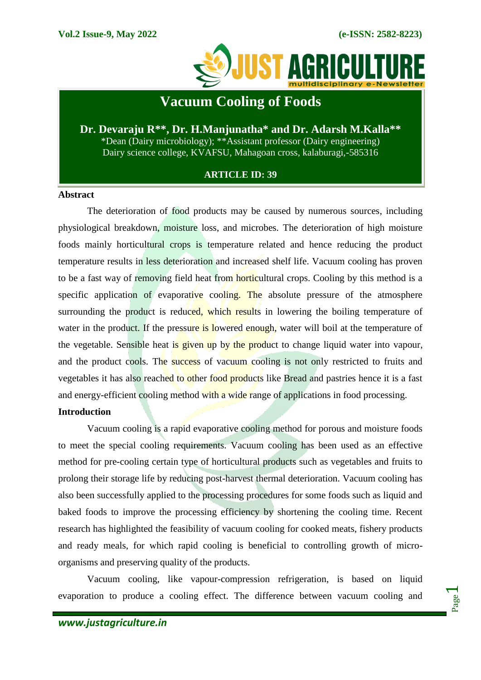

# **Vacuum Cooling of Foods**

## **Dr. Devaraju R\*\*, Dr. H.Manjunatha\* and Dr. Adarsh M.Kalla\*\*** \*Dean (Dairy microbiology); \*\*Assistant professor (Dairy engineering) Dairy science college, KVAFSU, Mahagoan cross, kalaburagi,-585316

## **ARTICLE ID: 39**

### **Abstract**

The deterioration of food products may be caused by numerous sources, including physiological breakdown, moisture loss, and microbes. The deterioration of high moisture foods mainly horticultural crops is temperature related and hence reducing the product temperature results in less deterioration and increased shelf life. Vacuum cooling has proven to be a fast way of removing field heat from horticultural crops. Cooling by this method is a specific application of evaporative cooling. The absolute pressure of the atmosphere surrounding the product is reduced, which results in lowering the boiling temperature of water in the product. If the pressure is lowered enough, water will boil at the temperature of the vegetable. Sensible heat is given up by the product to change liquid water into vapour, and the product cools. The success of vacuum cooling is not only restricted to fruits and vegetables it has also reached to other food products like Bread and pastries hence it is a fast and energy-efficient cooling method with a wide range of applications in food processing.

## **Introduction**

Vacuum cooling is a rapid evaporative cooling method for porous and moisture foods to meet the special cooling requirements. Vacuum cooling has been used as an effective method for pre-cooling certain type of horticultural products such as vegetables and fruits to prolong their storage life by reducing post-harvest thermal deterioration. Vacuum cooling has also been successfully applied to the processing procedures for some foods such as liquid and baked foods to improve the processing efficiency by shortening the cooling time. Recent research has highlighted the feasibility of vacuum cooling for cooked meats, fishery products and ready meals, for which rapid cooling is beneficial to controlling growth of microorganisms and preserving quality of the products.

Vacuum cooling, like vapour-compression refrigeration, is based on liquid evaporation to produce a cooling effect. The difference between vacuum cooling and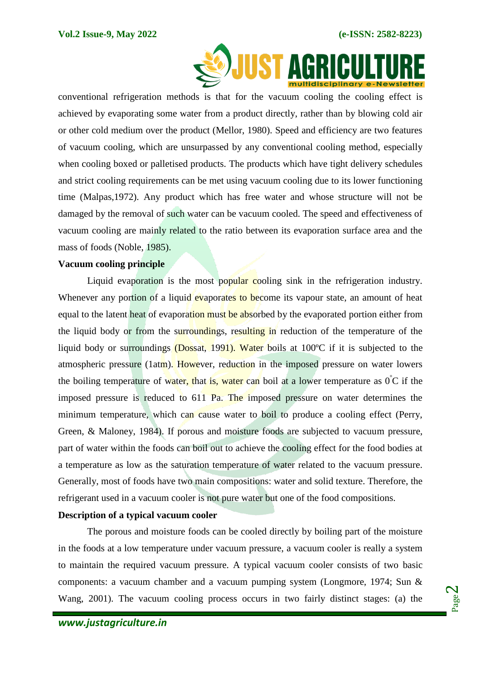

conventional refrigeration methods is that for the vacuum cooling the cooling effect is achieved by evaporating some water from a product directly, rather than by blowing cold air or other cold medium over the product (Mellor, 1980). Speed and efficiency are two features of vacuum cooling, which are unsurpassed by any conventional cooling method, especially when cooling boxed or palletised products. The products which have tight delivery schedules and strict cooling requirements can be met using vacuum cooling due to its lower functioning time (Malpas,1972). Any product which has free water and whose structure will not be damaged by the removal of such water can be vacuum cooled. The speed and effectiveness of vacuum cooling are mainly related to the ratio between its evaporation surface area and the mass of foods (Noble, 1985).

#### **Vacuum cooling principle**

Liquid evaporation is the most popular cooling sink in the refrigeration industry. Whenever any portion of a liquid evaporates to become its vapour state, an amount of heat equal to the latent heat of evaporation must be absorbed by the evaporated portion either from the liquid body or from the surroundings, resulting in reduction of the temperature of the liquid body or surroundings (Dossat, 1991). Water boils at 100ºC if it is subjected to the atmospheric pressure (1atm). However, reduction in the imposed pressure on water lowers the boiling temperature of water, that is, water can boil at a lower temperature as  $0\degree C$  if the imposed pressure is reduced to 611 Pa. The imposed pressure on water determines the minimum temperature, which can cause water to boil to produce a cooling effect (Perry, Green, & Maloney, 1984). If porous and moisture foods are subjected to vacuum pressure, part of water within the foods can boil out to achieve the cooling effect for the food bodies at a temperature as low as the saturation temperature of water related to the vacuum pressure. Generally, most of foods have two main compositions: water and solid texture. Therefore, the refrigerant used in a vacuum cooler is not pure water but one of the food compositions.

#### **Description of a typical vacuum cooler**

The porous and moisture foods can be cooled directly by boiling part of the moisture in the foods at a low temperature under vacuum pressure, a vacuum cooler is really a system to maintain the required vacuum pressure. A typical vacuum cooler consists of two basic components: a vacuum chamber and a vacuum pumping system (Longmore, 1974; Sun & Wang, 2001). The vacuum cooling process occurs in two fairly distinct stages: (a) the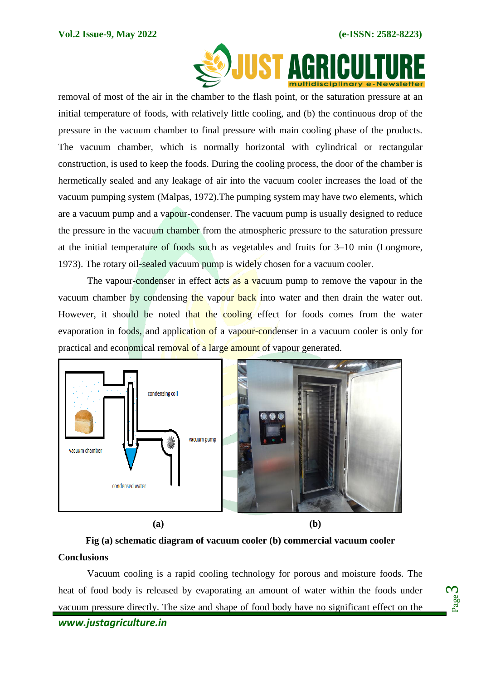Page က $\,$ 



removal of most of the air in the chamber to the flash point, or the saturation pressure at an initial temperature of foods, with relatively little cooling, and (b) the continuous drop of the pressure in the vacuum chamber to final pressure with main cooling phase of the products. The vacuum chamber, which is normally horizontal with cylindrical or rectangular construction, is used to keep the foods. During the cooling process, the door of the chamber is hermetically sealed and any leakage of air into the vacuum cooler increases the load of the vacuum pumping system (Malpas, 1972).The pumping system may have two elements, which are a vacuum pump and a vapour-condenser. The vacuum pump is usually designed to reduce the pressure in the vacuum chamber from the atmospheric pressure to the saturation pressure at the initial temperature of foods such as vegetables and fruits for 3–10 min (Longmore, 1973). The rotary oil-sealed vacuum pump is widely chosen for a vacuum cooler.

The vapour-condenser in effect acts as a vacuum pump to remove the vapour in the vacuum chamber by condensing the vapour back into water and then drain the water out. However, it should be noted that the cooling effect for foods comes from the water evaporation in foods, and application of a vapour-condenser in a vacuum cooler is only for practical and economical removal of a large amount of vapour generated.



**Fig (a) schematic diagram of vacuum cooler (b) commercial vacuum cooler Conclusions**

Vacuum cooling is a rapid cooling technology for porous and moisture foods. The heat of food body is released by evaporating an amount of water within the foods under vacuum pressure directly. The size and shape of food body have no significant effect on the